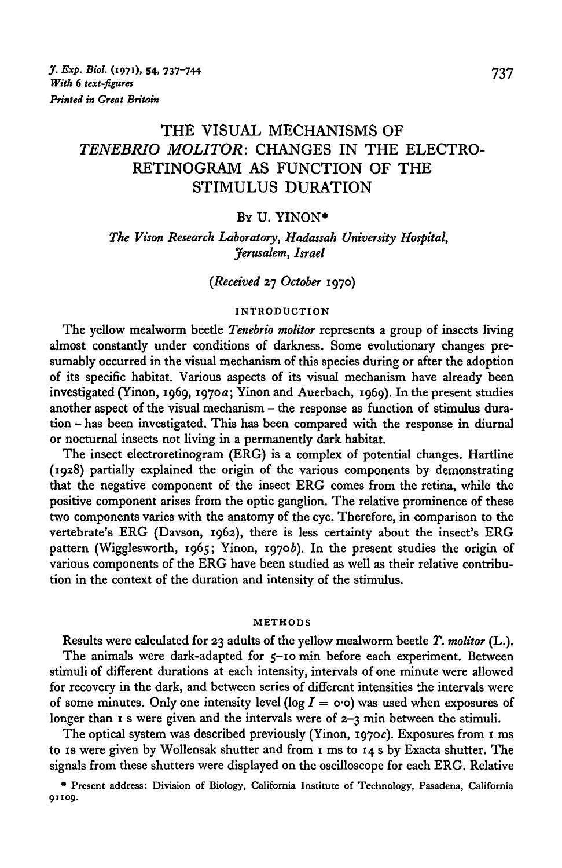# THE VISUAL MECHANISMS OF *TENEBRIO MOLITOR:* CHANGES IN THE ELECTRO-RETINOGRAM AS FUNCTION OF THE STIMULUS DURATION

### Bv U. YINON•

*The Vison Research Laboratory, Hadassah University Hospital, Jerusalem, Israel* 

### *(Received* 27 *October* I97o)

### INTRODUCTION

The yellow mealworm beetle *Tenebrio molitor* represents a group of insects living almost constantly under conditions of darkness. Some evolutionary changes presumably occurred in the visual mechanism of this species during or after the adoption of its specific habitat. Various aspects of its visual mechanism have already been investigated (Yinon, I969, I97oa; Yinon and Auerbach, I969). In the present studies another aspect of the visual mechanism - the response as function of stimulus duration - has been investigated. This has been compared with the response in diurnal or nocturnal insects not living in a permanently dark habitat.

The insect electroretinogram (ERG) is a complex of potential changes. Hartline (I928) partially explained the origin of the various components by demonstrating that the negative component of the insect ERG comes from the retina, while the positive component arises from the optic ganglion. The relative prominence of these two components varies with the anatomy of the eye. Therefore, in comparison to the vertebrate's ERG (Davson, I962), there is less certainty about the insect's ERG pattern (Wigglesworth, 1965; Yinon, 1970b). In the present studies the origin of various components of the ERG have been studied as well as their relative contribution in the context of the duration and intensity of the stimulus.

### METHODS

Results were calculated for 23 adults of the yellow mealworm beetle *T. molitor* (L.). The animals were dark-adapted for 5-10 min before each experiment. Between stimuli of different durations at each intensity, intervals of one minute were allowed for recovery in the dark, and between series of different intensities the intervals were of some minutes. Only one intensity level (log  $I = \infty$ ) was used when exposures of longer than  $\bar{x}$  s were given and the intervals were of  $\bar{z}$  -3 min between the stimuli.

The optical system was described previously (Yinon, 1970c). Exposures from 1 ms to IS were given by Wollensak shutter and from I ms to I4 s by Exacta shutter. The signals from these shutters were displayed on the oscilloscope for each ERG. Relative

<sup>•</sup> Present address: Division of Biology, California Institute of Technology, Pasadena, California 91109.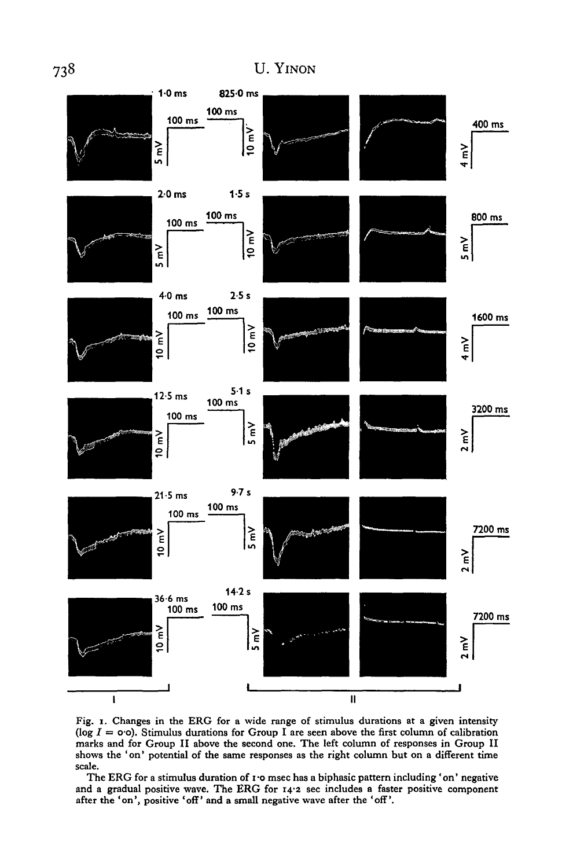

Fig. I. Changes in the ERG for a wide range of stimulus durations at a given intensity (log  $I = o \cdot o$ ). Stimulus durations for Group I are seen above the first column of calibration marks and for Group II above the second one. The left column of responses in Group II shows the 'on' potential of the same responses as the right column but on a different time scale.

The ERG for a stimulus duration of 1.0 msec has a biphasic pattern including 'on' negative and a gradual positive wave. The ERG for I4'2 sec includes a faster positive component after the 'on', positive 'off' and a small negative wave after the 'off'.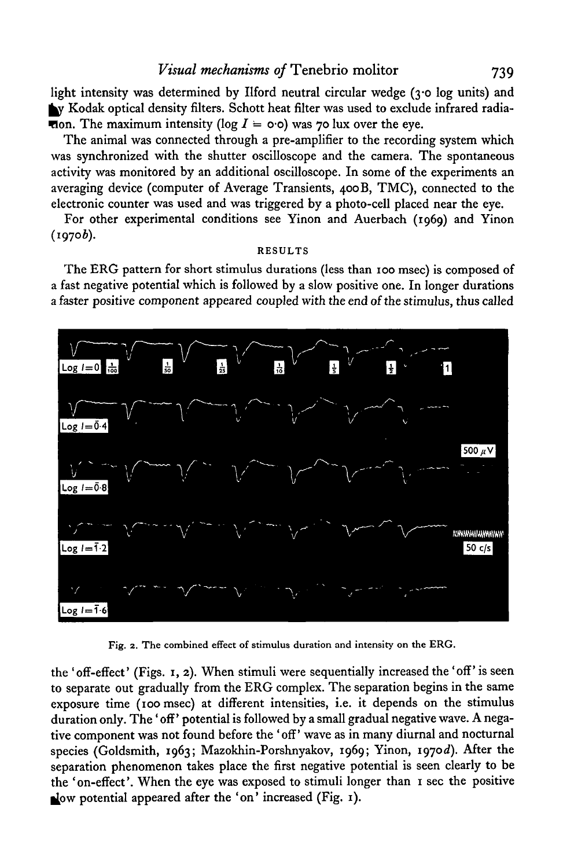light intensity was determined by Ilford neutral circular wedge (3.0 log units) and Ny Kodak optical density filters. Schott heat filter was used to exclude infrared radia-**Hom.** The maximum intensity (log  $I = \infty$ ) was 70 lux over the eye.

The animal was connected through a pre-amplifier to the recording system which was synchronized with the shutter oscilloscope and the camera. The spontaneous activity was monitored by an additional oscilloscope. In some of the experiments an averaging device (computer of Average Transients, 4ooB, TMC), connected to the electronic counter was used and was triggered by a photo-cell placed near the eye.

For other experimental conditions see Yinon and Auerbach (I969) and Yinon  $(1970b).$ 

### RESULTS

The ERG pattern for short stimulus durations (less than IOO msec) is composed of a fast negative potential which is followed by a slow positive one. In longer durations a faster positive component appeared coupled with the end of the stimulus, thus called



Fig. z. The combined effect of stimulus duration and intensity on the ERG.

the 'off-effect' (Figs. I, 2). When stimuli were sequentially increased the 'off' is seen to separate out gradually from the ERG complex. The separation begins in the same exposure time (Ioo msec) at different intensities, i.e. it depends on the stimulus duration only. The 'off' potential is followed by a small gradual negative wave. A negative component was not found before the 'off' wave as in many diurnal and nocturnal species (Goldsmith, I963; Mazokhin-Porshnyakov, I969; Yinon, I97od). Mter the separation phenomenon takes place the first negative potential is seen clearly to be the 'on-effect'. When the eye was exposed to stimuli longer than I sec the positive Now potential appeared after the 'on' increased (Fig.  $\mathbf{I}$ ).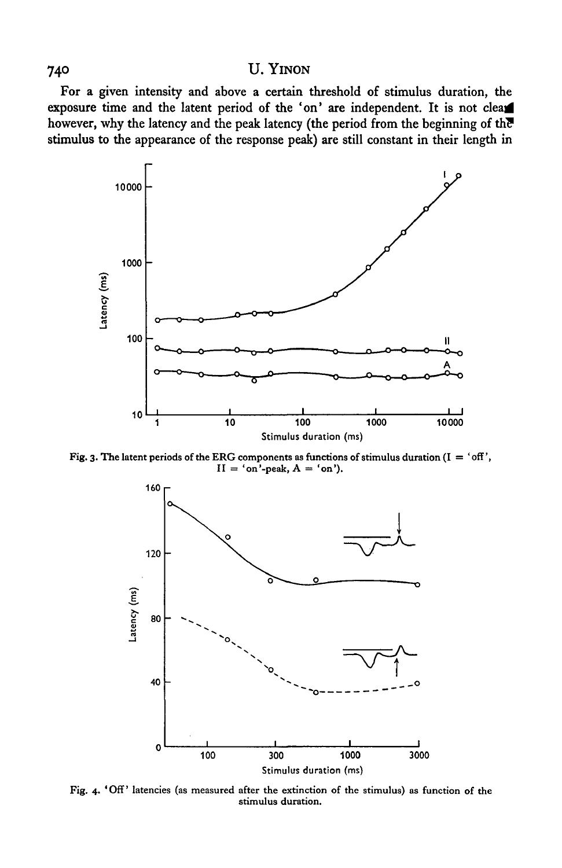## 740 U. YINON

For a given intensity and above a certain threshold of stimulus duration, the exposure time and the latent period of the 'on' are independent. It is not clear however, why the latency and the peak latency (the period from the beginning of the stimulus to the appearance of the response peak) are still constant in their length in



Fig. 3. The latent periods of the ERG components as functions of stimulus duration  $(I = 'off', I')$  $II = 'on'$ -peak,  $A = 'on'.$ 



Fig. 4· 'Off' latencies (as measured after the extinction of the stimulus) as function of the stimulus duration.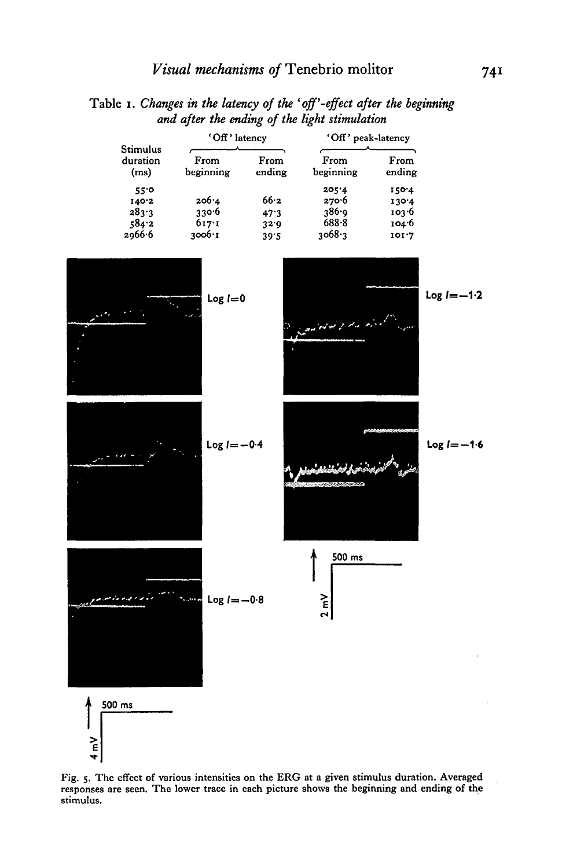Table 1. *Changes in the latency of the 'off' -effect after the beginning and after the ending of the light stimulation* 

| Stimulus<br>duration<br>(ms) | 'Off' latency     |                | 'Off' peak-latency |                |
|------------------------------|-------------------|----------------|--------------------|----------------|
|                              | From<br>beginning | From<br>ending | From<br>beginning  | From<br>ending |
| $55^\circ$                   |                   |                | 205'4              | 150.4          |
| 140.2                        | 206.4             | 66.2           | 270.6              | 130.4          |
| 283.3                        | 330.6             | 47.3           | 386.9              | 103.6          |
| 584.2                        | 617:1             | 32.9           | 688.8              | 104.6          |
| 2066.6                       | $3006 \cdot I$    | 39.5           | 3068.3             | 101.7          |



Fig. 5· The effect of various intensities on the ERG at a given stimulus duration. Averaged responses are seen. The lower trace in each picture shows the beginning and ending of the stimulus. The contract of the contract of the contract of the contract of the contract of the contract of the contract of the contract of the contract of the contract of the contract of the contract of the contract of the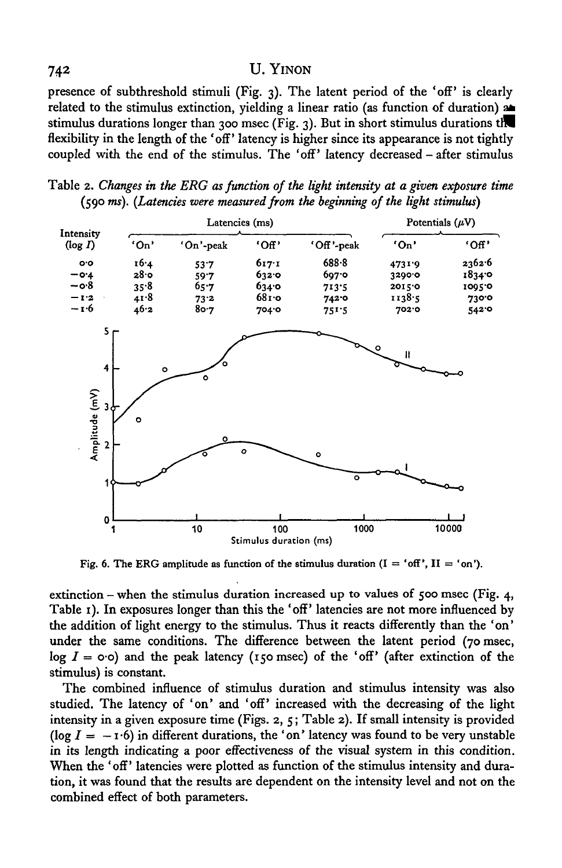### 742 U. YINON

presence of subthreshold stimuli (Fig. 3). The latent period of the 'off' is clearly related to the stimulus extinction, yielding a linear ratio (as function of duration) aa. stimulus durations longer than 300 msec (Fig. 3). But in short stimulus durations the flexibility in the length of the 'off' latency is higher since its appearance is not tightly coupled with the end of the stimulus. The 'off' latency decreased- after stimulus

Table 2. *Changes in the ERG as function of the light intensity at a given exposure time*  (590 ms). *(Latencies were measured from the beginning of the light stimulus)* 



Fig. 6. The ERG amplitude as function of the stimulus duration  $(I = 'off', II = 'on').$ 

extinction – when the stimulus duration increased up to values of 500 msec (Fig. 4, Table 1). In exposures longer than this the 'off' latencies are not more influenced by the addition of light energy to the stimulus. Thus it reacts differently than the 'on' under the same conditions. The difference between the latent period (70 msec, log  $I = \infty$ ·o) and the peak latency (150 msec) of the 'off' (after extinction of the stimulus) is constant.

The combined influence of stimulus duration and stimulus intensity was also studied. The latency of 'on' and 'off' increased with the decreasing of the light intensity in a given exposure time (Figs. 2, 5; Table 2). If small intensity is provided (log  $I = -x \cdot 6$ ) in different durations, the 'on' latency was found to be very unstable in its length indicating a poor effectiveness of the visual system in this condition. When the 'off' latencies were plotted as function of the stimulus intensity and duration, it was found that the results are dependent on the intensity level and not on the combined effect of both parameters.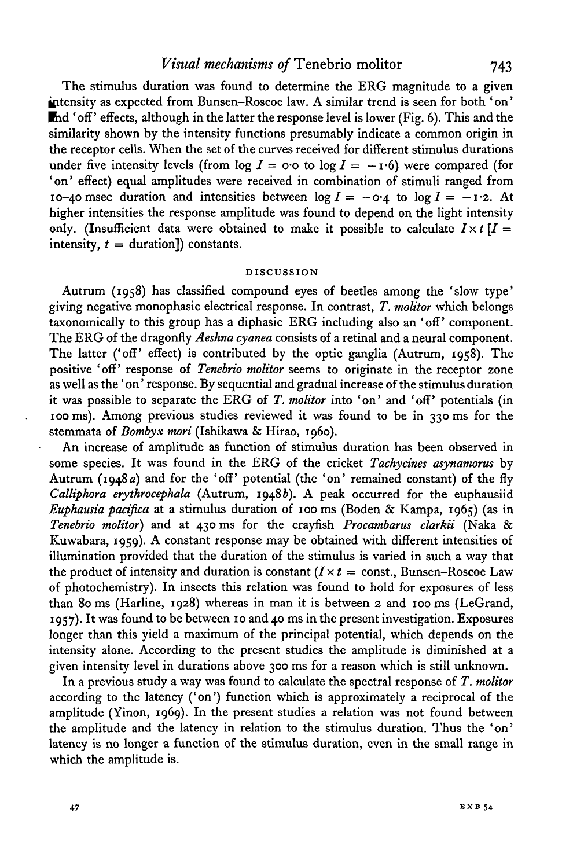## *Visual mechanisms of Tenebrio molitor* 743

The stimulus duration was found to determine the ERG magnitude to a given  $intensity$  as expected from Bunsen-Roscoe law. A similar trend is seen for both 'on'  $\mathbf{F}_{\mathbf{M}}$  of ' effects, although in the latter the response level is lower (Fig. 6). This and the similarity shown by the intensity functions presumably indicate a common origin in the receptor cells. When the set of the curves received for different stimulus durations under five intensity levels (from  $\log I = \cos \theta$  to  $\log I = -\psi$ ) were compared (for 'on' effect) equal amplitudes were received in combination of stimuli ranged from 10-40 msec duration and intensities between  $\log I = -0.4$  to  $\log I = -1.2$ . At higher intensities the response amplitude was found to depend on the light intensity only. (Insufficient data were obtained to make it possible to calculate  $I \times t$   $I =$ intensity,  $t =$  duration<sup>1</sup>) constants.

### DISCUSSION

Autrum (1958) has classified compound eyes of beetles among the 'slow type' giving negative monophasic electrical response. In contrast, *T. molitor* which belongs taxonomically to this group has a diphasic ERG including also an 'off' component. The ERG of the dragonfly *Aeshna cyanea* consists of a retinal and a neural component. The latter ('off' effect) is contributed by the optic ganglia (Autrum, 1958). The positive 'off' response of *Tenebrio molitor* seems to originate in the receptor zone as well as the 'on' response. By sequential and gradual increase of the stimulus duration it was possible to separate the ERG of T. molitor into 'on' and 'off' potentials (in 100 ms). Among previous studies reviewed it was found to be in 330 ms for the stemmata of *Bombyx mori* (Ishikawa & Hirao, 1960).

An increase of amplitude as function of stimulus duration has been observed in some species. It was found in the ERG of the cricket *Tachycines asynamorus* by Autrum (1948a) and for the 'off' potential (the 'on' remained constant) of the fly *Calliphora erythrocephala* (Autrum, 1948b). A peak occurred for the euphausiid *Euphausia pacifica* at a stimulus duration of 100 ms (Boden & Kampa, 1965) (as in *Tenebrio molitor)* and at 430 ms for the crayfish *Procambarus clarkii* (Naka & Kuwahara, 1959). A constant response may be obtained with different intensities of illumination provided that the duration of the stimulus is varied in such a way that the product of intensity and duration is constant  $(I \times t = \text{const.}, \text{Bunsen-Roscoe Law})$ of photochemistry). In insects this relation was found to hold for exposures of less than 8o ms (Harline, 1928) whereas in man it is between 2 and 100 ms (LeGrand, 1957). It was found to be between 10 and 40 ms in the present investigation. Exposures longer than this yield a maximum of the principal potential, which depends on the intensity alone. According to the present studies the amplitude is diminished at a given intensity level in durations above 300 ms for a reason which is still unknown.

In a previous study a way was found to calculate the spectral response of *T. molitor*  according to the latency ('on') function which is approximately a reciprocal of the amplitude (Yinon, 1969). In the present studies a relation was not found between the amplitude and the latency in relation to the stimulus duration. Thus the 'on' latency is no longer a function of the stimulus duration, even in the small range in which the amplitude is.